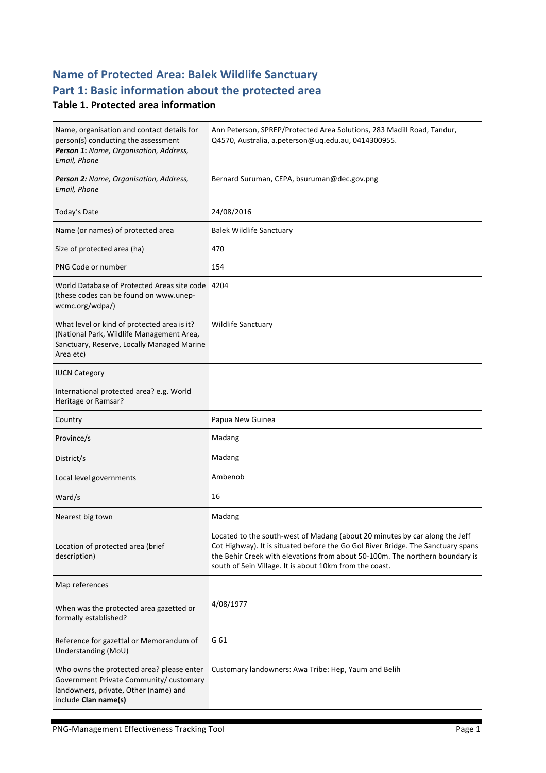# **Name of Protected Area: Balek Wildlife Sanctuary** Part 1: Basic information about the protected area

#### **Table 1. Protected area information**

| Name, organisation and contact details for<br>person(s) conducting the assessment<br>Person 1: Name, Organisation, Address,<br>Email, Phone           | Ann Peterson, SPREP/Protected Area Solutions, 283 Madill Road, Tandur,<br>Q4570, Australia, a.peterson@uq.edu.au, 0414300955.                                                                                                                                                                              |
|-------------------------------------------------------------------------------------------------------------------------------------------------------|------------------------------------------------------------------------------------------------------------------------------------------------------------------------------------------------------------------------------------------------------------------------------------------------------------|
| Person 2: Name, Organisation, Address,<br>Email, Phone                                                                                                | Bernard Suruman, CEPA, bsuruman@dec.gov.png                                                                                                                                                                                                                                                                |
| Today's Date                                                                                                                                          | 24/08/2016                                                                                                                                                                                                                                                                                                 |
| Name (or names) of protected area                                                                                                                     | <b>Balek Wildlife Sanctuary</b>                                                                                                                                                                                                                                                                            |
| Size of protected area (ha)                                                                                                                           | 470                                                                                                                                                                                                                                                                                                        |
| PNG Code or number                                                                                                                                    | 154                                                                                                                                                                                                                                                                                                        |
| World Database of Protected Areas site code<br>(these codes can be found on www.unep-<br>wcmc.org/wdpa/)                                              | 4204                                                                                                                                                                                                                                                                                                       |
| What level or kind of protected area is it?<br>(National Park, Wildlife Management Area,<br>Sanctuary, Reserve, Locally Managed Marine<br>Area etc)   | <b>Wildlife Sanctuary</b>                                                                                                                                                                                                                                                                                  |
| <b>IUCN Category</b>                                                                                                                                  |                                                                                                                                                                                                                                                                                                            |
| International protected area? e.g. World<br>Heritage or Ramsar?                                                                                       |                                                                                                                                                                                                                                                                                                            |
| Country                                                                                                                                               | Papua New Guinea                                                                                                                                                                                                                                                                                           |
| Province/s                                                                                                                                            | Madang                                                                                                                                                                                                                                                                                                     |
| District/s                                                                                                                                            | Madang                                                                                                                                                                                                                                                                                                     |
| Local level governments                                                                                                                               | Ambenob                                                                                                                                                                                                                                                                                                    |
| Ward/s                                                                                                                                                | 16                                                                                                                                                                                                                                                                                                         |
| Nearest big town                                                                                                                                      | Madang                                                                                                                                                                                                                                                                                                     |
| Location of protected area (brief<br>description)                                                                                                     | Located to the south-west of Madang (about 20 minutes by car along the Jeff<br>Cot Highway). It is situated before the Go Gol River Bridge. The Sanctuary spans<br>the Behir Creek with elevations from about 50-100m. The northern boundary is<br>south of Sein Village. It is about 10km from the coast. |
| Map references                                                                                                                                        |                                                                                                                                                                                                                                                                                                            |
| When was the protected area gazetted or<br>formally established?                                                                                      | 4/08/1977                                                                                                                                                                                                                                                                                                  |
| Reference for gazettal or Memorandum of<br>Understanding (MoU)                                                                                        | G 61                                                                                                                                                                                                                                                                                                       |
| Who owns the protected area? please enter<br>Government Private Community/ customary<br>landowners, private, Other (name) and<br>include Clan name(s) | Customary landowners: Awa Tribe: Hep, Yaum and Belih                                                                                                                                                                                                                                                       |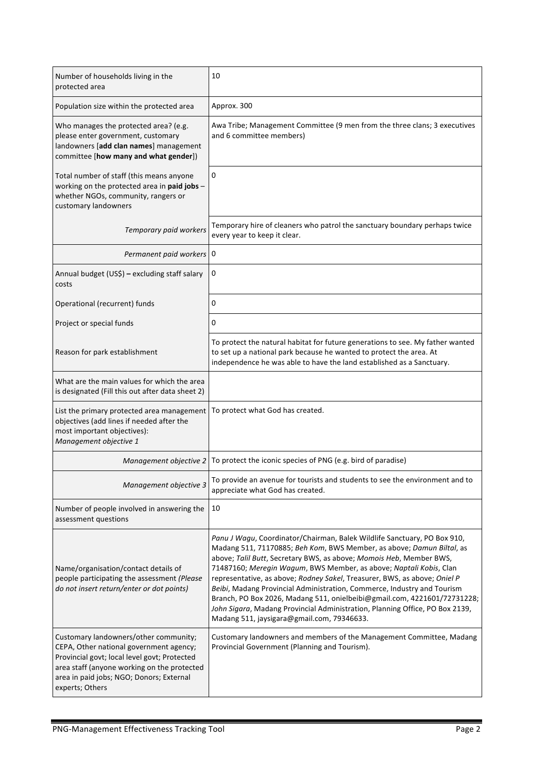| Number of households living in the<br>protected area                                                                                                                                                                                           | 10                                                                                                                                                                                                                                                                                                                                                                                                                                                                                                                                                                                                                                                               |
|------------------------------------------------------------------------------------------------------------------------------------------------------------------------------------------------------------------------------------------------|------------------------------------------------------------------------------------------------------------------------------------------------------------------------------------------------------------------------------------------------------------------------------------------------------------------------------------------------------------------------------------------------------------------------------------------------------------------------------------------------------------------------------------------------------------------------------------------------------------------------------------------------------------------|
| Population size within the protected area                                                                                                                                                                                                      | Approx. 300                                                                                                                                                                                                                                                                                                                                                                                                                                                                                                                                                                                                                                                      |
| Who manages the protected area? (e.g.<br>please enter government, customary<br>landowners [add clan names] management<br>committee [how many and what gender])                                                                                 | Awa Tribe; Management Committee (9 men from the three clans; 3 executives<br>and 6 committee members)                                                                                                                                                                                                                                                                                                                                                                                                                                                                                                                                                            |
| Total number of staff (this means anyone<br>working on the protected area in paid jobs -<br>whether NGOs, community, rangers or<br>customary landowners                                                                                        | 0                                                                                                                                                                                                                                                                                                                                                                                                                                                                                                                                                                                                                                                                |
| Temporary paid workers                                                                                                                                                                                                                         | Temporary hire of cleaners who patrol the sanctuary boundary perhaps twice<br>every year to keep it clear.                                                                                                                                                                                                                                                                                                                                                                                                                                                                                                                                                       |
| Permanent paid workers   0                                                                                                                                                                                                                     |                                                                                                                                                                                                                                                                                                                                                                                                                                                                                                                                                                                                                                                                  |
| Annual budget (US\$) - excluding staff salary<br>costs                                                                                                                                                                                         | 0                                                                                                                                                                                                                                                                                                                                                                                                                                                                                                                                                                                                                                                                |
| Operational (recurrent) funds                                                                                                                                                                                                                  | 0                                                                                                                                                                                                                                                                                                                                                                                                                                                                                                                                                                                                                                                                |
| Project or special funds                                                                                                                                                                                                                       | 0                                                                                                                                                                                                                                                                                                                                                                                                                                                                                                                                                                                                                                                                |
| Reason for park establishment                                                                                                                                                                                                                  | To protect the natural habitat for future generations to see. My father wanted<br>to set up a national park because he wanted to protect the area. At<br>independence he was able to have the land established as a Sanctuary.                                                                                                                                                                                                                                                                                                                                                                                                                                   |
| What are the main values for which the area<br>is designated (Fill this out after data sheet 2)                                                                                                                                                |                                                                                                                                                                                                                                                                                                                                                                                                                                                                                                                                                                                                                                                                  |
| List the primary protected area management<br>objectives (add lines if needed after the<br>most important objectives):<br>Management objective 1                                                                                               | To protect what God has created.                                                                                                                                                                                                                                                                                                                                                                                                                                                                                                                                                                                                                                 |
| Management objective 2                                                                                                                                                                                                                         | To protect the iconic species of PNG (e.g. bird of paradise)                                                                                                                                                                                                                                                                                                                                                                                                                                                                                                                                                                                                     |
| Management objective 3                                                                                                                                                                                                                         | To provide an avenue for tourists and students to see the environment and to<br>appreciate what God has created.                                                                                                                                                                                                                                                                                                                                                                                                                                                                                                                                                 |
| Number of people involved in answering the<br>assessment questions                                                                                                                                                                             | 10                                                                                                                                                                                                                                                                                                                                                                                                                                                                                                                                                                                                                                                               |
| Name/organisation/contact details of<br>people participating the assessment (Please<br>do not insert return/enter or dot points)                                                                                                               | Panu J Wagu, Coordinator/Chairman, Balek Wildlife Sanctuary, PO Box 910,<br>Madang 511, 71170885; Beh Kom, BWS Member, as above; Damun Biltal, as<br>above; Talil Butt, Secretary BWS, as above; Momois Heb, Member BWS,<br>71487160; Meregin Wagum, BWS Member, as above; Naptali Kobis, Clan<br>representative, as above; Rodney Sakel, Treasurer, BWS, as above; Oniel P<br>Beibi, Madang Provincial Administration, Commerce, Industry and Tourism<br>Branch, PO Box 2026, Madang 511, onielbeibi@gmail.com, 4221601/72731228;<br>John Sigara, Madang Provincial Administration, Planning Office, PO Box 2139,<br>Madang 511, jaysigara@gmail.com, 79346633. |
| Customary landowners/other community;<br>CEPA, Other national government agency;<br>Provincial govt; local level govt; Protected<br>area staff (anyone working on the protected<br>area in paid jobs; NGO; Donors; External<br>experts; Others | Customary landowners and members of the Management Committee, Madang<br>Provincial Government (Planning and Tourism).                                                                                                                                                                                                                                                                                                                                                                                                                                                                                                                                            |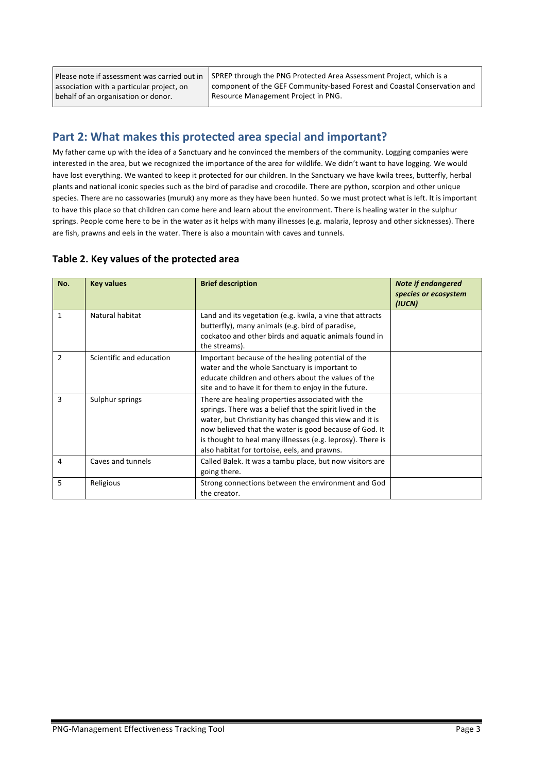Please note if assessment was carried out in association with a particular project, on behalf of an organisation or donor.

SPREP through the PNG Protected Area Assessment Project, which is a component of the GEF Community-based Forest and Coastal Conservation and Resource Management Project in PNG.

### **Part 2: What makes this protected area special and important?**

My father came up with the idea of a Sanctuary and he convinced the members of the community. Logging companies were interested in the area, but we recognized the importance of the area for wildlife. We didn't want to have logging. We would have lost everything. We wanted to keep it protected for our children. In the Sanctuary we have kwila trees, butterfly, herbal plants and national iconic species such as the bird of paradise and crocodile. There are python, scorpion and other unique species. There are no cassowaries (muruk) any more as they have been hunted. So we must protect what is left. It is important to have this place so that children can come here and learn about the environment. There is healing water in the sulphur springs. People come here to be in the water as it helps with many illnesses (e.g. malaria, leprosy and other sicknesses). There are fish, prawns and eels in the water. There is also a mountain with caves and tunnels.

#### Table 2. Key values of the protected area

| No.           | <b>Key values</b>        | <b>Brief description</b>                                                                                                                                                                                                                                                                                                                        | <b>Note if endangered</b><br>species or ecosystem<br>(IUCN) |
|---------------|--------------------------|-------------------------------------------------------------------------------------------------------------------------------------------------------------------------------------------------------------------------------------------------------------------------------------------------------------------------------------------------|-------------------------------------------------------------|
| 1             | Natural habitat          | Land and its vegetation (e.g. kwila, a vine that attracts<br>butterfly), many animals (e.g. bird of paradise,<br>cockatoo and other birds and aquatic animals found in<br>the streams).                                                                                                                                                         |                                                             |
| $\mathcal{P}$ | Scientific and education | Important because of the healing potential of the<br>water and the whole Sanctuary is important to<br>educate children and others about the values of the<br>site and to have it for them to enjoy in the future.                                                                                                                               |                                                             |
| 3             | Sulphur springs          | There are healing properties associated with the<br>springs. There was a belief that the spirit lived in the<br>water, but Christianity has changed this view and it is<br>now believed that the water is good because of God. It<br>is thought to heal many illnesses (e.g. leprosy). There is<br>also habitat for tortoise, eels, and prawns. |                                                             |
| 4             | Caves and tunnels        | Called Balek. It was a tambu place, but now visitors are<br>going there.                                                                                                                                                                                                                                                                        |                                                             |
| 5             | Religious                | Strong connections between the environment and God<br>the creator.                                                                                                                                                                                                                                                                              |                                                             |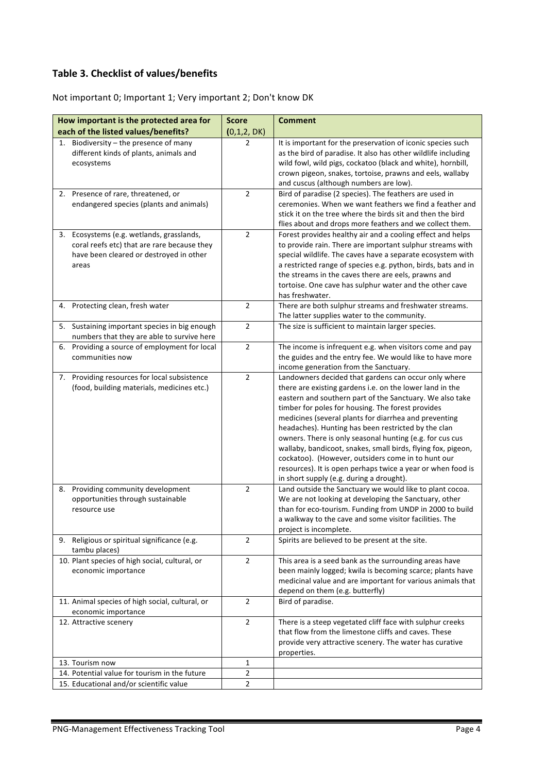#### **Table 3. Checklist of values/benefits**

Not important 0; Important 1; Very important 2; Don't know DK

| How important is the protected area for                                                                                                      | <b>Score</b>   | <b>Comment</b>                                                                                                                                                                                                                                                                                                                                                                                                                                                                                                                                                                                                                                 |
|----------------------------------------------------------------------------------------------------------------------------------------------|----------------|------------------------------------------------------------------------------------------------------------------------------------------------------------------------------------------------------------------------------------------------------------------------------------------------------------------------------------------------------------------------------------------------------------------------------------------------------------------------------------------------------------------------------------------------------------------------------------------------------------------------------------------------|
| each of the listed values/benefits?                                                                                                          | (0,1,2,DK)     |                                                                                                                                                                                                                                                                                                                                                                                                                                                                                                                                                                                                                                                |
| Biodiversity - the presence of many<br>1.<br>different kinds of plants, animals and<br>ecosystems                                            | $\overline{2}$ | It is important for the preservation of iconic species such<br>as the bird of paradise. It also has other wildlife including<br>wild fowl, wild pigs, cockatoo (black and white), hornbill,<br>crown pigeon, snakes, tortoise, prawns and eels, wallaby<br>and cuscus (although numbers are low).                                                                                                                                                                                                                                                                                                                                              |
| 2. Presence of rare, threatened, or<br>endangered species (plants and animals)                                                               | $\overline{2}$ | Bird of paradise (2 species). The feathers are used in<br>ceremonies. When we want feathers we find a feather and<br>stick it on the tree where the birds sit and then the bird<br>flies about and drops more feathers and we collect them.                                                                                                                                                                                                                                                                                                                                                                                                    |
| 3. Ecosystems (e.g. wetlands, grasslands,<br>coral reefs etc) that are rare because they<br>have been cleared or destroyed in other<br>areas | $\overline{2}$ | Forest provides healthy air and a cooling effect and helps<br>to provide rain. There are important sulphur streams with<br>special wildlife. The caves have a separate ecosystem with<br>a restricted range of species e.g. python, birds, bats and in<br>the streams in the caves there are eels, prawns and<br>tortoise. One cave has sulphur water and the other cave<br>has freshwater.                                                                                                                                                                                                                                                    |
| 4. Protecting clean, fresh water                                                                                                             | $\overline{2}$ | There are both sulphur streams and freshwater streams.<br>The latter supplies water to the community.                                                                                                                                                                                                                                                                                                                                                                                                                                                                                                                                          |
| 5. Sustaining important species in big enough<br>numbers that they are able to survive here                                                  | $\overline{2}$ | The size is sufficient to maintain larger species.                                                                                                                                                                                                                                                                                                                                                                                                                                                                                                                                                                                             |
| Providing a source of employment for local<br>6.<br>communities now                                                                          | $\overline{2}$ | The income is infrequent e.g. when visitors come and pay<br>the guides and the entry fee. We would like to have more<br>income generation from the Sanctuary.                                                                                                                                                                                                                                                                                                                                                                                                                                                                                  |
| 7. Providing resources for local subsistence<br>(food, building materials, medicines etc.)                                                   | $\overline{2}$ | Landowners decided that gardens can occur only where<br>there are existing gardens i.e. on the lower land in the<br>eastern and southern part of the Sanctuary. We also take<br>timber for poles for housing. The forest provides<br>medicines (several plants for diarrhea and preventing<br>headaches). Hunting has been restricted by the clan<br>owners. There is only seasonal hunting (e.g. for cus cus<br>wallaby, bandicoot, snakes, small birds, flying fox, pigeon,<br>cockatoo). (However, outsiders come in to hunt our<br>resources). It is open perhaps twice a year or when food is<br>in short supply (e.g. during a drought). |
| Providing community development<br>8.<br>opportunities through sustainable<br>resource use                                                   | $\overline{2}$ | Land outside the Sanctuary we would like to plant cocoa.<br>We are not looking at developing the Sanctuary, other<br>than for eco-tourism. Funding from UNDP in 2000 to build<br>a walkway to the cave and some visitor facilities. The<br>project is incomplete.                                                                                                                                                                                                                                                                                                                                                                              |
| Religious or spiritual significance (e.g.<br>9.<br>tambu places)                                                                             | $\overline{2}$ | Spirits are believed to be present at the site.                                                                                                                                                                                                                                                                                                                                                                                                                                                                                                                                                                                                |
| 10. Plant species of high social, cultural, or<br>economic importance                                                                        | $\overline{2}$ | This area is a seed bank as the surrounding areas have<br>been mainly logged; kwila is becoming scarce; plants have<br>medicinal value and are important for various animals that<br>depend on them (e.g. butterfly)                                                                                                                                                                                                                                                                                                                                                                                                                           |
| 11. Animal species of high social, cultural, or<br>economic importance                                                                       | $\overline{2}$ | Bird of paradise.                                                                                                                                                                                                                                                                                                                                                                                                                                                                                                                                                                                                                              |
| 12. Attractive scenery                                                                                                                       | $\overline{2}$ | There is a steep vegetated cliff face with sulphur creeks<br>that flow from the limestone cliffs and caves. These<br>provide very attractive scenery. The water has curative<br>properties.                                                                                                                                                                                                                                                                                                                                                                                                                                                    |
| 13. Tourism now                                                                                                                              | 1              |                                                                                                                                                                                                                                                                                                                                                                                                                                                                                                                                                                                                                                                |
| 14. Potential value for tourism in the future                                                                                                | $\overline{2}$ |                                                                                                                                                                                                                                                                                                                                                                                                                                                                                                                                                                                                                                                |
| 15. Educational and/or scientific value                                                                                                      | $\overline{2}$ |                                                                                                                                                                                                                                                                                                                                                                                                                                                                                                                                                                                                                                                |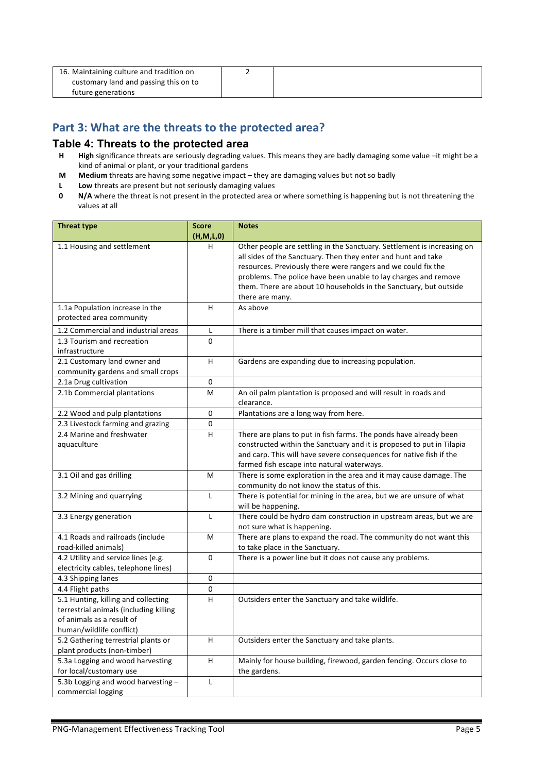| 16. Maintaining culture and tradition on |  |
|------------------------------------------|--|
| customary land and passing this on to    |  |
| future generations                       |  |

#### Part 3: What are the threats to the protected area?

#### **Table 4: Threats to the protected area**

- **H High** significance threats are seriously degrading values. This means they are badly damaging some value –it might be a kind of animal or plant, or your traditional gardens
- **M** Medium threats are having some negative impact they are damaging values but not so badly
- **L** Low threats are present but not seriously damaging values<br>**0** N/A where the threat is not present in the protected area of
- **N/A** where the threat is not present in the protected area or where something is happening but is not threatening the values at all

| <b>Threat type</b>                     | <b>Score</b> | <b>Notes</b>                                                                                                     |
|----------------------------------------|--------------|------------------------------------------------------------------------------------------------------------------|
|                                        | (H, M, L, 0) |                                                                                                                  |
| 1.1 Housing and settlement             | H.           | Other people are settling in the Sanctuary. Settlement is increasing on                                          |
|                                        |              | all sides of the Sanctuary. Then they enter and hunt and take                                                    |
|                                        |              | resources. Previously there were rangers and we could fix the                                                    |
|                                        |              | problems. The police have been unable to lay charges and remove                                                  |
|                                        |              | them. There are about 10 households in the Sanctuary, but outside                                                |
|                                        | H.           | there are many.<br>As above                                                                                      |
| 1.1a Population increase in the        |              |                                                                                                                  |
| protected area community               |              |                                                                                                                  |
| 1.2 Commercial and industrial areas    | L            | There is a timber mill that causes impact on water.                                                              |
| 1.3 Tourism and recreation             | $\Omega$     |                                                                                                                  |
| infrastructure                         |              |                                                                                                                  |
| 2.1 Customary land owner and           | H.           | Gardens are expanding due to increasing population.                                                              |
| community gardens and small crops      |              |                                                                                                                  |
| 2.1a Drug cultivation                  | $\Omega$     |                                                                                                                  |
| 2.1b Commercial plantations            | М            | An oil palm plantation is proposed and will result in roads and                                                  |
|                                        |              | clearance.                                                                                                       |
| 2.2 Wood and pulp plantations          | 0            | Plantations are a long way from here.                                                                            |
| 2.3 Livestock farming and grazing      | 0            |                                                                                                                  |
| 2.4 Marine and freshwater              | H.           | There are plans to put in fish farms. The ponds have already been                                                |
| aquaculture                            |              | constructed within the Sanctuary and it is proposed to put in Tilapia                                            |
|                                        |              | and carp. This will have severe consequences for native fish if the                                              |
| 3.1 Oil and gas drilling               | M            | farmed fish escape into natural waterways.<br>There is some exploration in the area and it may cause damage. The |
|                                        |              | community do not know the status of this.                                                                        |
| 3.2 Mining and quarrying               | L            | There is potential for mining in the area, but we are unsure of what                                             |
|                                        |              | will be happening.                                                                                               |
| 3.3 Energy generation                  | $\mathbf{I}$ | There could be hydro dam construction in upstream areas, but we are                                              |
|                                        |              | not sure what is happening.                                                                                      |
| 4.1 Roads and railroads (include       | M            | There are plans to expand the road. The community do not want this                                               |
| road-killed animals)                   |              | to take place in the Sanctuary.                                                                                  |
| 4.2 Utility and service lines (e.g.    | 0            | There is a power line but it does not cause any problems.                                                        |
| electricity cables, telephone lines)   |              |                                                                                                                  |
| 4.3 Shipping lanes                     | 0            |                                                                                                                  |
| 4.4 Flight paths                       | 0            |                                                                                                                  |
| 5.1 Hunting, killing and collecting    | H.           | Outsiders enter the Sanctuary and take wildlife.                                                                 |
| terrestrial animals (including killing |              |                                                                                                                  |
| of animals as a result of              |              |                                                                                                                  |
| human/wildlife conflict)               |              |                                                                                                                  |
| 5.2 Gathering terrestrial plants or    | H.           | Outsiders enter the Sanctuary and take plants.                                                                   |
| plant products (non-timber)            |              |                                                                                                                  |
| 5.3a Logging and wood harvesting       | H.           | Mainly for house building, firewood, garden fencing. Occurs close to                                             |
| for local/customary use                |              | the gardens.                                                                                                     |
| 5.3b Logging and wood harvesting -     | L            |                                                                                                                  |
| commercial logging                     |              |                                                                                                                  |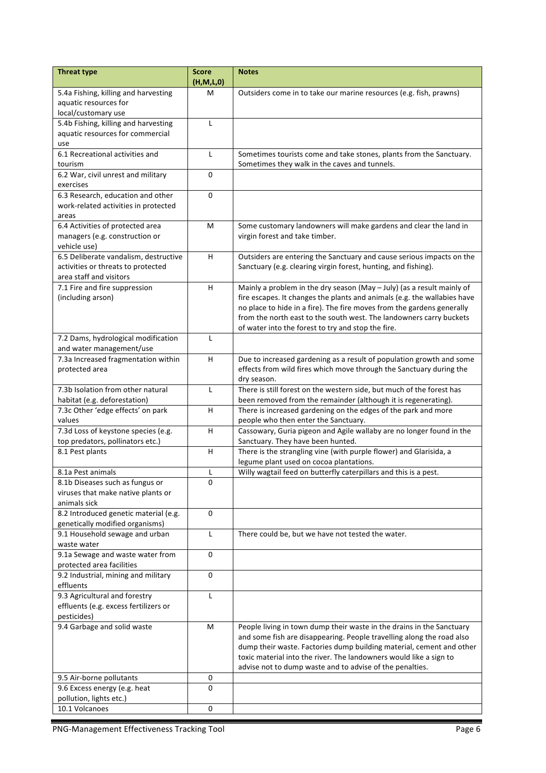| <b>Threat type</b>                                                        | <b>Score</b>      | <b>Notes</b>                                                                                                                                  |
|---------------------------------------------------------------------------|-------------------|-----------------------------------------------------------------------------------------------------------------------------------------------|
| 5.4a Fishing, killing and harvesting                                      | (H, M, L, 0)<br>M | Outsiders come in to take our marine resources (e.g. fish, prawns)                                                                            |
| aquatic resources for                                                     |                   |                                                                                                                                               |
| local/customary use                                                       |                   |                                                                                                                                               |
| 5.4b Fishing, killing and harvesting                                      | L                 |                                                                                                                                               |
| aquatic resources for commercial                                          |                   |                                                                                                                                               |
| use                                                                       |                   |                                                                                                                                               |
| 6.1 Recreational activities and                                           | L                 | Sometimes tourists come and take stones, plants from the Sanctuary.                                                                           |
| tourism                                                                   |                   | Sometimes they walk in the caves and tunnels.                                                                                                 |
| 6.2 War, civil unrest and military                                        | $\mathbf 0$       |                                                                                                                                               |
| exercises                                                                 |                   |                                                                                                                                               |
| 6.3 Research, education and other<br>work-related activities in protected | $\mathbf 0$       |                                                                                                                                               |
| areas                                                                     |                   |                                                                                                                                               |
| 6.4 Activities of protected area                                          | M                 | Some customary landowners will make gardens and clear the land in                                                                             |
| managers (e.g. construction or                                            |                   | virgin forest and take timber.                                                                                                                |
| vehicle use)                                                              |                   |                                                                                                                                               |
| 6.5 Deliberate vandalism, destructive                                     | H                 | Outsiders are entering the Sanctuary and cause serious impacts on the                                                                         |
| activities or threats to protected                                        |                   | Sanctuary (e.g. clearing virgin forest, hunting, and fishing).                                                                                |
| area staff and visitors                                                   |                   |                                                                                                                                               |
| 7.1 Fire and fire suppression                                             | H                 | Mainly a problem in the dry season (May $-$ July) (as a result mainly of                                                                      |
| (including arson)                                                         |                   | fire escapes. It changes the plants and animals (e.g. the wallabies have                                                                      |
|                                                                           |                   | no place to hide in a fire). The fire moves from the gardens generally<br>from the north east to the south west. The landowners carry buckets |
|                                                                           |                   | of water into the forest to try and stop the fire.                                                                                            |
| 7.2 Dams, hydrological modification                                       | L                 |                                                                                                                                               |
| and water management/use                                                  |                   |                                                                                                                                               |
| 7.3a Increased fragmentation within                                       | H                 | Due to increased gardening as a result of population growth and some                                                                          |
| protected area                                                            |                   | effects from wild fires which move through the Sanctuary during the                                                                           |
|                                                                           |                   | dry season.                                                                                                                                   |
| 7.3b Isolation from other natural                                         | L                 | There is still forest on the western side, but much of the forest has                                                                         |
| habitat (e.g. deforestation)                                              |                   | been removed from the remainder (although it is regenerating).                                                                                |
| 7.3c Other 'edge effects' on park                                         | H                 | There is increased gardening on the edges of the park and more                                                                                |
| values<br>7.3d Loss of keystone species (e.g.                             | H                 | people who then enter the Sanctuary.                                                                                                          |
| top predators, pollinators etc.)                                          |                   | Cassowary, Guria pigeon and Agile wallaby are no longer found in the<br>Sanctuary. They have been hunted.                                     |
| 8.1 Pest plants                                                           | H                 | There is the strangling vine (with purple flower) and Glarisida, a                                                                            |
|                                                                           |                   | legume plant used on cocoa plantations.                                                                                                       |
| 8.1a Pest animals                                                         | L                 | Willy wagtail feed on butterfly caterpillars and this is a pest.                                                                              |
| 8.1b Diseases such as fungus or                                           | 0                 |                                                                                                                                               |
| viruses that make native plants or                                        |                   |                                                                                                                                               |
| animals sick                                                              |                   |                                                                                                                                               |
| 8.2 Introduced genetic material (e.g.                                     | 0                 |                                                                                                                                               |
| genetically modified organisms)                                           | L                 |                                                                                                                                               |
| 9.1 Household sewage and urban<br>waste water                             |                   | There could be, but we have not tested the water.                                                                                             |
| 9.1a Sewage and waste water from                                          | $\Omega$          |                                                                                                                                               |
| protected area facilities                                                 |                   |                                                                                                                                               |
| 9.2 Industrial, mining and military                                       | $\mathbf 0$       |                                                                                                                                               |
| effluents                                                                 |                   |                                                                                                                                               |
| 9.3 Agricultural and forestry                                             | L                 |                                                                                                                                               |
| effluents (e.g. excess fertilizers or                                     |                   |                                                                                                                                               |
| pesticides)                                                               |                   |                                                                                                                                               |
| 9.4 Garbage and solid waste                                               | M                 | People living in town dump their waste in the drains in the Sanctuary                                                                         |
|                                                                           |                   | and some fish are disappearing. People travelling along the road also<br>dump their waste. Factories dump building material, cement and other |
|                                                                           |                   | toxic material into the river. The landowners would like a sign to                                                                            |
|                                                                           |                   | advise not to dump waste and to advise of the penalties.                                                                                      |
| 9.5 Air-borne pollutants                                                  | 0                 |                                                                                                                                               |
| 9.6 Excess energy (e.g. heat                                              | $\mathbf 0$       |                                                                                                                                               |
| pollution, lights etc.)                                                   |                   |                                                                                                                                               |
| 10.1 Volcanoes                                                            | $\pmb{0}$         |                                                                                                                                               |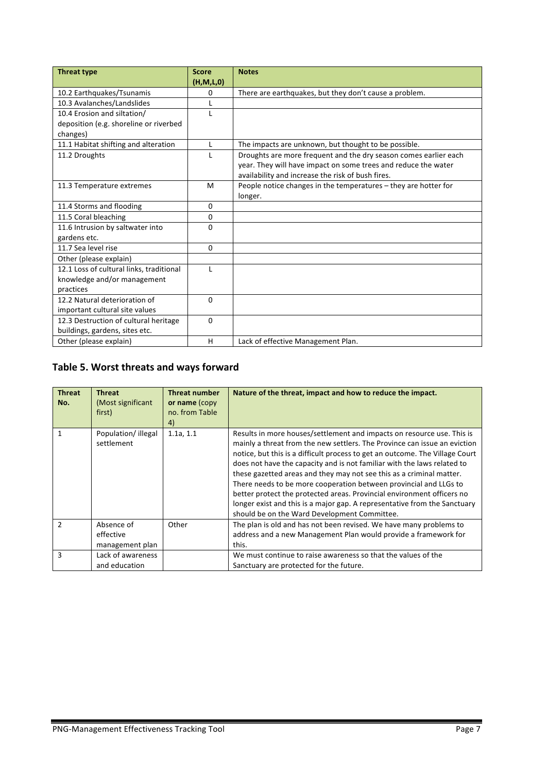| <b>Threat type</b>                       | <b>Score</b> | <b>Notes</b>                                                     |
|------------------------------------------|--------------|------------------------------------------------------------------|
|                                          | (H, M, L, 0) |                                                                  |
| 10.2 Earthquakes/Tsunamis                | 0            | There are earthquakes, but they don't cause a problem.           |
| 10.3 Avalanches/Landslides               |              |                                                                  |
| 10.4 Erosion and siltation/              | L            |                                                                  |
| deposition (e.g. shoreline or riverbed   |              |                                                                  |
| changes)                                 |              |                                                                  |
| 11.1 Habitat shifting and alteration     | $\mathsf{L}$ | The impacts are unknown, but thought to be possible.             |
| 11.2 Droughts                            | L            | Droughts are more frequent and the dry season comes earlier each |
|                                          |              | year. They will have impact on some trees and reduce the water   |
|                                          |              | availability and increase the risk of bush fires.                |
| 11.3 Temperature extremes                | M            | People notice changes in the temperatures - they are hotter for  |
|                                          |              | longer.                                                          |
| 11.4 Storms and flooding                 | 0            |                                                                  |
| 11.5 Coral bleaching                     | $\Omega$     |                                                                  |
| 11.6 Intrusion by saltwater into         | $\Omega$     |                                                                  |
| gardens etc.                             |              |                                                                  |
| 11.7 Sea level rise                      | 0            |                                                                  |
| Other (please explain)                   |              |                                                                  |
| 12.1 Loss of cultural links, traditional | L            |                                                                  |
| knowledge and/or management              |              |                                                                  |
| practices                                |              |                                                                  |
| 12.2 Natural deterioration of            | $\Omega$     |                                                                  |
| important cultural site values           |              |                                                                  |
| 12.3 Destruction of cultural heritage    | $\mathbf{0}$ |                                                                  |
| buildings, gardens, sites etc.           |              |                                                                  |
| Other (please explain)                   | H            | Lack of effective Management Plan.                               |

# Table 5. Worst threats and ways forward

| <b>Threat</b><br>No. | <b>Threat</b><br>(Most significant<br>first) | <b>Threat number</b><br>or name (copy<br>no. from Table<br>4) | Nature of the threat, impact and how to reduce the impact.                                                                                                                                                                                                                                                                                                                                                                                                                                                                                                                                                                                                         |
|----------------------|----------------------------------------------|---------------------------------------------------------------|--------------------------------------------------------------------------------------------------------------------------------------------------------------------------------------------------------------------------------------------------------------------------------------------------------------------------------------------------------------------------------------------------------------------------------------------------------------------------------------------------------------------------------------------------------------------------------------------------------------------------------------------------------------------|
| 1                    | Population/illegal<br>settlement             | 1.1a, 1.1                                                     | Results in more houses/settlement and impacts on resource use. This is<br>mainly a threat from the new settlers. The Province can issue an eviction<br>notice, but this is a difficult process to get an outcome. The Village Court<br>does not have the capacity and is not familiar with the laws related to<br>these gazetted areas and they may not see this as a criminal matter.<br>There needs to be more cooperation between provincial and LLGs to<br>better protect the protected areas. Provincial environment officers no<br>longer exist and this is a major gap. A representative from the Sanctuary<br>should be on the Ward Development Committee. |
| $\mathcal{P}$        | Absence of<br>effective<br>management plan   | Other                                                         | The plan is old and has not been revised. We have many problems to<br>address and a new Management Plan would provide a framework for<br>this.                                                                                                                                                                                                                                                                                                                                                                                                                                                                                                                     |
| 3                    | Lack of awareness<br>and education           |                                                               | We must continue to raise awareness so that the values of the<br>Sanctuary are protected for the future.                                                                                                                                                                                                                                                                                                                                                                                                                                                                                                                                                           |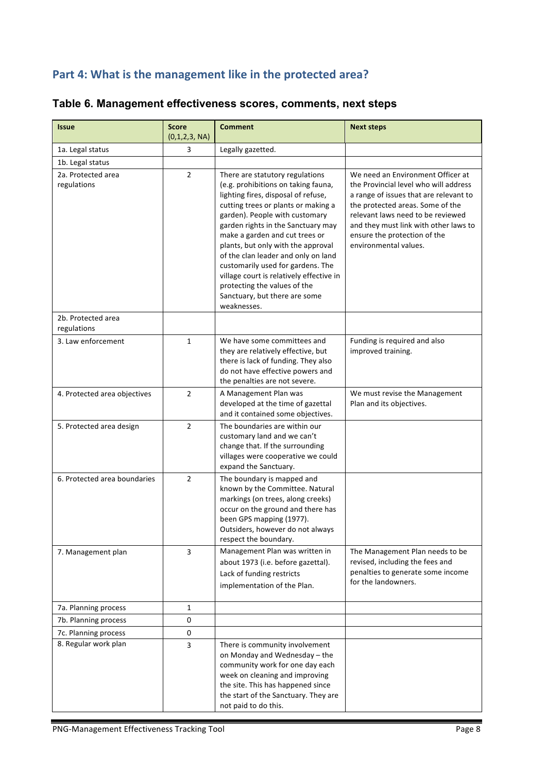# Part 4: What is the management like in the protected area?

| <b>Issue</b>                      | <b>Score</b><br>(0,1,2,3, NA) | <b>Comment</b>                                                                                                                                                                                                                                                                                                                                                                                                                                                                                               | <b>Next steps</b>                                                                                                                                                                                                                                                                               |
|-----------------------------------|-------------------------------|--------------------------------------------------------------------------------------------------------------------------------------------------------------------------------------------------------------------------------------------------------------------------------------------------------------------------------------------------------------------------------------------------------------------------------------------------------------------------------------------------------------|-------------------------------------------------------------------------------------------------------------------------------------------------------------------------------------------------------------------------------------------------------------------------------------------------|
| 1a. Legal status                  | 3                             | Legally gazetted.                                                                                                                                                                                                                                                                                                                                                                                                                                                                                            |                                                                                                                                                                                                                                                                                                 |
| 1b. Legal status                  |                               |                                                                                                                                                                                                                                                                                                                                                                                                                                                                                                              |                                                                                                                                                                                                                                                                                                 |
| 2a. Protected area<br>regulations | $\overline{2}$                | There are statutory regulations<br>(e.g. prohibitions on taking fauna,<br>lighting fires, disposal of refuse,<br>cutting trees or plants or making a<br>garden). People with customary<br>garden rights in the Sanctuary may<br>make a garden and cut trees or<br>plants, but only with the approval<br>of the clan leader and only on land<br>customarily used for gardens. The<br>village court is relatively effective in<br>protecting the values of the<br>Sanctuary, but there are some<br>weaknesses. | We need an Environment Officer at<br>the Provincial level who will address<br>a range of issues that are relevant to<br>the protected areas. Some of the<br>relevant laws need to be reviewed<br>and they must link with other laws to<br>ensure the protection of the<br>environmental values. |
| 2b. Protected area<br>regulations |                               |                                                                                                                                                                                                                                                                                                                                                                                                                                                                                                              |                                                                                                                                                                                                                                                                                                 |
| 3. Law enforcement                | $\mathbf{1}$                  | We have some committees and<br>they are relatively effective, but<br>there is lack of funding. They also<br>do not have effective powers and<br>the penalties are not severe.                                                                                                                                                                                                                                                                                                                                | Funding is required and also<br>improved training.                                                                                                                                                                                                                                              |
| 4. Protected area objectives      | $\overline{2}$                | A Management Plan was<br>developed at the time of gazettal<br>and it contained some objectives.                                                                                                                                                                                                                                                                                                                                                                                                              | We must revise the Management<br>Plan and its objectives.                                                                                                                                                                                                                                       |
| 5. Protected area design          | $\overline{2}$                | The boundaries are within our<br>customary land and we can't<br>change that. If the surrounding<br>villages were cooperative we could<br>expand the Sanctuary.                                                                                                                                                                                                                                                                                                                                               |                                                                                                                                                                                                                                                                                                 |
| 6. Protected area boundaries      | $\overline{2}$                | The boundary is mapped and<br>known by the Committee. Natural<br>markings (on trees, along creeks)<br>occur on the ground and there has<br>been GPS mapping (1977).<br>Outsiders, however do not always<br>respect the boundary.                                                                                                                                                                                                                                                                             |                                                                                                                                                                                                                                                                                                 |
| 7. Management plan                | 3                             | Management Plan was written in<br>about 1973 (i.e. before gazettal).<br>Lack of funding restricts<br>implementation of the Plan.                                                                                                                                                                                                                                                                                                                                                                             | The Management Plan needs to be<br>revised, including the fees and<br>penalties to generate some income<br>for the landowners.                                                                                                                                                                  |
| 7a. Planning process              | 1                             |                                                                                                                                                                                                                                                                                                                                                                                                                                                                                                              |                                                                                                                                                                                                                                                                                                 |
| 7b. Planning process              | 0                             |                                                                                                                                                                                                                                                                                                                                                                                                                                                                                                              |                                                                                                                                                                                                                                                                                                 |
| 7c. Planning process              | 0                             |                                                                                                                                                                                                                                                                                                                                                                                                                                                                                                              |                                                                                                                                                                                                                                                                                                 |
| 8. Regular work plan              | 3                             | There is community involvement<br>on Monday and Wednesday - the<br>community work for one day each<br>week on cleaning and improving<br>the site. This has happened since<br>the start of the Sanctuary. They are<br>not paid to do this.                                                                                                                                                                                                                                                                    |                                                                                                                                                                                                                                                                                                 |

# **Table 6. Management effectiveness scores, comments, next steps**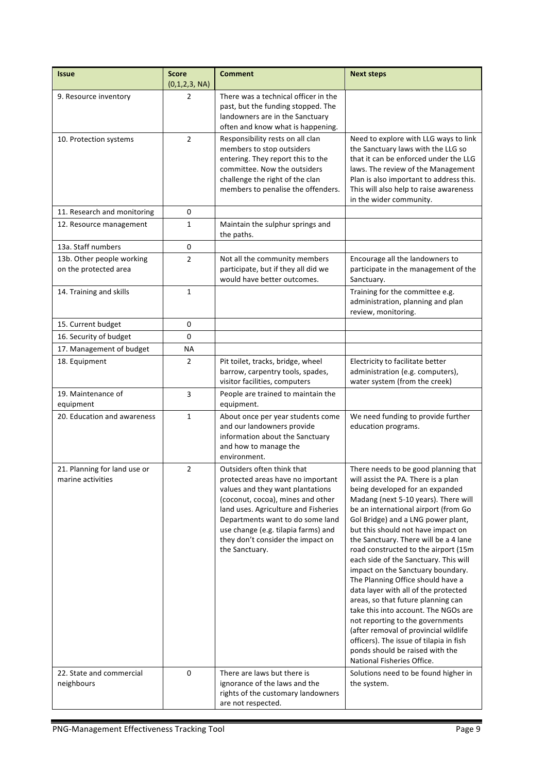| <b>Issue</b>                                       | <b>Score</b><br>(0,1,2,3, NA) | <b>Comment</b>                                                                                                                                                                                                                                                                                                     | <b>Next steps</b>                                                                                                                                                                                                                                                                                                                                                                                                                                                                                                                                                                                                                                                                                                                                                                             |
|----------------------------------------------------|-------------------------------|--------------------------------------------------------------------------------------------------------------------------------------------------------------------------------------------------------------------------------------------------------------------------------------------------------------------|-----------------------------------------------------------------------------------------------------------------------------------------------------------------------------------------------------------------------------------------------------------------------------------------------------------------------------------------------------------------------------------------------------------------------------------------------------------------------------------------------------------------------------------------------------------------------------------------------------------------------------------------------------------------------------------------------------------------------------------------------------------------------------------------------|
| 9. Resource inventory                              | 2                             | There was a technical officer in the<br>past, but the funding stopped. The<br>landowners are in the Sanctuary<br>often and know what is happening.                                                                                                                                                                 |                                                                                                                                                                                                                                                                                                                                                                                                                                                                                                                                                                                                                                                                                                                                                                                               |
| 10. Protection systems                             | $\overline{2}$                | Responsibility rests on all clan<br>members to stop outsiders<br>entering. They report this to the<br>committee. Now the outsiders<br>challenge the right of the clan<br>members to penalise the offenders.                                                                                                        | Need to explore with LLG ways to link<br>the Sanctuary laws with the LLG so<br>that it can be enforced under the LLG<br>laws. The review of the Management<br>Plan is also important to address this.<br>This will also help to raise awareness<br>in the wider community.                                                                                                                                                                                                                                                                                                                                                                                                                                                                                                                    |
| 11. Research and monitoring                        | 0                             |                                                                                                                                                                                                                                                                                                                    |                                                                                                                                                                                                                                                                                                                                                                                                                                                                                                                                                                                                                                                                                                                                                                                               |
| 12. Resource management                            | 1                             | Maintain the sulphur springs and<br>the paths.                                                                                                                                                                                                                                                                     |                                                                                                                                                                                                                                                                                                                                                                                                                                                                                                                                                                                                                                                                                                                                                                                               |
| 13a. Staff numbers                                 | 0                             |                                                                                                                                                                                                                                                                                                                    |                                                                                                                                                                                                                                                                                                                                                                                                                                                                                                                                                                                                                                                                                                                                                                                               |
| 13b. Other people working<br>on the protected area | $\overline{2}$                | Not all the community members<br>participate, but if they all did we<br>would have better outcomes.                                                                                                                                                                                                                | Encourage all the landowners to<br>participate in the management of the<br>Sanctuary.                                                                                                                                                                                                                                                                                                                                                                                                                                                                                                                                                                                                                                                                                                         |
| 14. Training and skills                            | $\mathbf{1}$                  |                                                                                                                                                                                                                                                                                                                    | Training for the committee e.g.<br>administration, planning and plan<br>review, monitoring.                                                                                                                                                                                                                                                                                                                                                                                                                                                                                                                                                                                                                                                                                                   |
| 15. Current budget                                 | 0                             |                                                                                                                                                                                                                                                                                                                    |                                                                                                                                                                                                                                                                                                                                                                                                                                                                                                                                                                                                                                                                                                                                                                                               |
| 16. Security of budget                             | 0                             |                                                                                                                                                                                                                                                                                                                    |                                                                                                                                                                                                                                                                                                                                                                                                                                                                                                                                                                                                                                                                                                                                                                                               |
| 17. Management of budget                           | <b>NA</b>                     |                                                                                                                                                                                                                                                                                                                    |                                                                                                                                                                                                                                                                                                                                                                                                                                                                                                                                                                                                                                                                                                                                                                                               |
| 18. Equipment                                      | 2                             | Pit toilet, tracks, bridge, wheel<br>barrow, carpentry tools, spades,<br>visitor facilities, computers                                                                                                                                                                                                             | Electricity to facilitate better<br>administration (e.g. computers),<br>water system (from the creek)                                                                                                                                                                                                                                                                                                                                                                                                                                                                                                                                                                                                                                                                                         |
| 19. Maintenance of<br>equipment                    | 3                             | People are trained to maintain the<br>equipment.                                                                                                                                                                                                                                                                   |                                                                                                                                                                                                                                                                                                                                                                                                                                                                                                                                                                                                                                                                                                                                                                                               |
| 20. Education and awareness                        | $\mathbf{1}$                  | About once per year students come<br>and our landowners provide<br>information about the Sanctuary<br>and how to manage the<br>environment.                                                                                                                                                                        | We need funding to provide further<br>education programs.                                                                                                                                                                                                                                                                                                                                                                                                                                                                                                                                                                                                                                                                                                                                     |
| 21. Planning for land use or<br>marine activities  | $\overline{2}$                | Outsiders often think that<br>protected areas have no important<br>values and they want plantations<br>(coconut, cocoa), mines and other<br>land uses. Agriculture and Fisheries<br>Departments want to do some land<br>use change (e.g. tilapia farms) and<br>they don't consider the impact on<br>the Sanctuary. | There needs to be good planning that<br>will assist the PA. There is a plan<br>being developed for an expanded<br>Madang (next 5-10 years). There will<br>be an international airport (from Go<br>Gol Bridge) and a LNG power plant,<br>but this should not have impact on<br>the Sanctuary. There will be a 4 lane<br>road constructed to the airport (15m<br>each side of the Sanctuary. This will<br>impact on the Sanctuary boundary.<br>The Planning Office should have a<br>data layer with all of the protected<br>areas, so that future planning can<br>take this into account. The NGOs are<br>not reporting to the governments<br>(after removal of provincial wildlife<br>officers). The issue of tilapia in fish<br>ponds should be raised with the<br>National Fisheries Office. |
| 22. State and commercial<br>neighbours             | 0                             | There are laws but there is<br>ignorance of the laws and the<br>rights of the customary landowners<br>are not respected.                                                                                                                                                                                           | Solutions need to be found higher in<br>the system.                                                                                                                                                                                                                                                                                                                                                                                                                                                                                                                                                                                                                                                                                                                                           |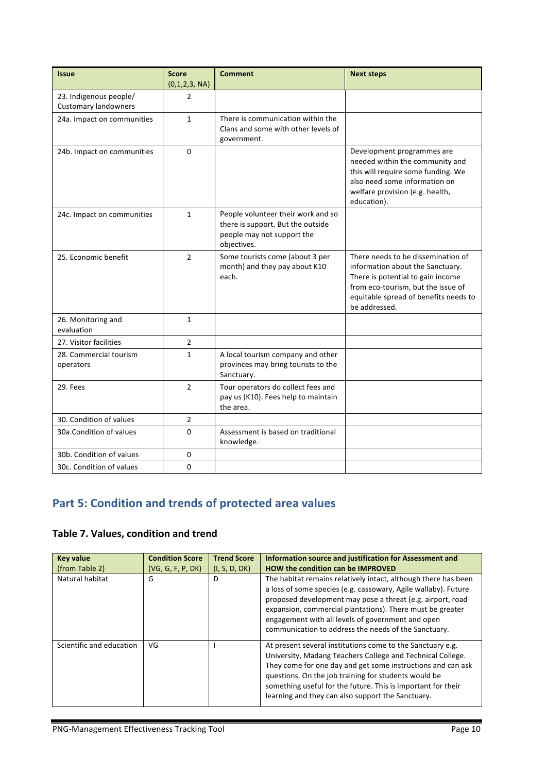| <b>Issue</b>                                          | <b>Score</b><br>(0,1,2,3, NA) | <b>Comment</b>                                                                                                       | <b>Next steps</b>                                                                                                                                                                                           |
|-------------------------------------------------------|-------------------------------|----------------------------------------------------------------------------------------------------------------------|-------------------------------------------------------------------------------------------------------------------------------------------------------------------------------------------------------------|
| 23. Indigenous people/<br><b>Customary landowners</b> | 2                             |                                                                                                                      |                                                                                                                                                                                                             |
| 24a. Impact on communities                            | $\mathbf{1}$                  | There is communication within the<br>Clans and some with other levels of<br>government.                              |                                                                                                                                                                                                             |
| 24b. Impact on communities                            | $\Omega$                      |                                                                                                                      | Development programmes are<br>needed within the community and<br>this will require some funding. We<br>also need some information on<br>welfare provision (e.g. health,<br>education).                      |
| 24c. Impact on communities                            | $\mathbf{1}$                  | People volunteer their work and so<br>there is support. But the outside<br>people may not support the<br>objectives. |                                                                                                                                                                                                             |
| 25. Economic benefit                                  | $\overline{2}$                | Some tourists come (about 3 per<br>month) and they pay about K10<br>each.                                            | There needs to be dissemination of<br>information about the Sanctuary.<br>There is potential to gain income<br>from eco-tourism, but the issue of<br>equitable spread of benefits needs to<br>be addressed. |
| 26. Monitoring and<br>evaluation                      | $\mathbf{1}$                  |                                                                                                                      |                                                                                                                                                                                                             |
| 27. Visitor facilities                                | $\overline{2}$                |                                                                                                                      |                                                                                                                                                                                                             |
| 28. Commercial tourism<br>operators                   | $\mathbf{1}$                  | A local tourism company and other<br>provinces may bring tourists to the<br>Sanctuary.                               |                                                                                                                                                                                                             |
| 29. Fees                                              | $\overline{2}$                | Tour operators do collect fees and<br>pay us (K10). Fees help to maintain<br>the area.                               |                                                                                                                                                                                                             |
| 30. Condition of values                               | $\overline{2}$                |                                                                                                                      |                                                                                                                                                                                                             |
| 30a. Condition of values                              | $\Omega$                      | Assessment is based on traditional<br>knowledge.                                                                     |                                                                                                                                                                                                             |
| 30b. Condition of values                              | 0                             |                                                                                                                      |                                                                                                                                                                                                             |
| 30c. Condition of values                              | 0                             |                                                                                                                      |                                                                                                                                                                                                             |

# **Part 5: Condition and trends of protected area values**

# Table 7. Values, condition and trend

| <b>Key value</b><br>(from Table 2) | <b>Condition Score</b><br>(VG, G, F, P, DK) | <b>Trend Score</b><br>(I, S, D, DK) | Information source and justification for Assessment and<br><b>HOW the condition can be IMPROVED</b>                                                                                                                                                                                                                                                                      |
|------------------------------------|---------------------------------------------|-------------------------------------|--------------------------------------------------------------------------------------------------------------------------------------------------------------------------------------------------------------------------------------------------------------------------------------------------------------------------------------------------------------------------|
| Natural habitat                    | G                                           | D                                   | The habitat remains relatively intact, although there has been<br>a loss of some species (e.g. cassowary, Agile wallaby). Future<br>proposed development may pose a threat (e.g. airport, road<br>expansion, commercial plantations). There must be greater<br>engagement with all levels of government and open<br>communication to address the needs of the Sanctuary. |
| Scientific and education           | VG                                          |                                     | At present several institutions come to the Sanctuary e.g.<br>University, Madang Teachers College and Technical College.<br>They come for one day and get some instructions and can ask<br>questions. On the job training for students would be<br>something useful for the future. This is important for their<br>learning and they can also support the Sanctuary.     |